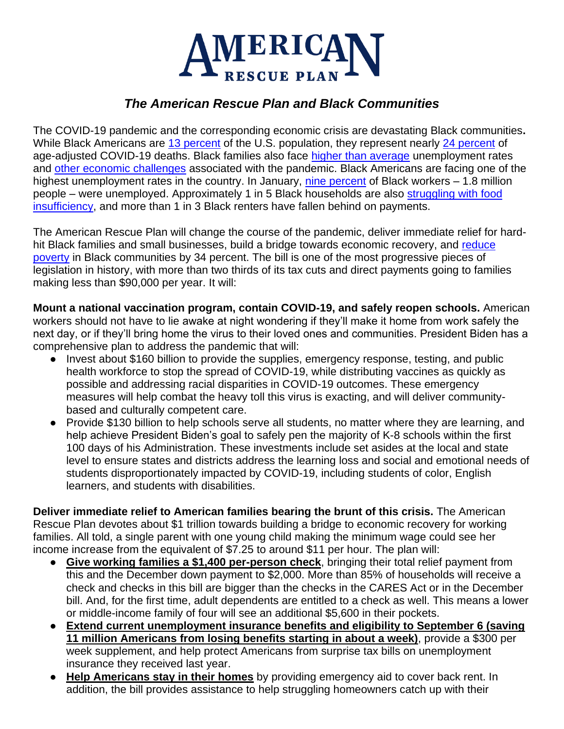

## *The American Rescue Plan and Black Communities*

The COVID-19 pandemic and the corresponding economic crisis are devastating Black communities**.**  While Black Americans are [13 percent](https://data.census.gov/cedsci/table?tid=ACSDP1Y2019.DP05) of the U.S. population, they represent nearly [24 percent](https://www.cdc.gov/coronavirus/2019-ncov/community/health-equity/racial-ethnic-disparities/disparities-deaths.html) of age-adjusted COVID-19 deaths. Black families also face [higher than average](https://www.bls.gov/news.release/pdf/empsit.pdf) unemployment rates and [other economic challenges](https://www.cbpp.org/research/poverty-and-inequality/tracking-the-covid-19-recessions-effects-on-food-housing-and) associated with the pandemic. Black Americans are facing one of the highest unemployment rates in the country. In January, [nine percent](https://www.bls.gov/news.release/pdf/empsit.pdf) of Black workers – 1.8 million people – were unemployed. Approximately 1 in 5 Black households are also [struggling with food](https://www.cbpp.org/research/poverty-and-inequality/tracking-the-covid-19-recessions-effects-on-food-housing-and)  [insufficiency,](https://www.cbpp.org/research/poverty-and-inequality/tracking-the-covid-19-recessions-effects-on-food-housing-and) and more than 1 in 3 Black renters have fallen behind on payments.

The American Rescue Plan will change the course of the pandemic, deliver immediate relief for hardhit Black families and small businesses, build a bridge towards economic recovery, and reduce [poverty](https://static1.squarespace.com/static/5743308460b5e922a25a6dc7/t/601acf15866c634924d12963/1612369686861/Poverty-Reduction-Analysis-Biden-Economic-Relief-CPSP-2021.pdf) in Black communities by 34 percent. The bill is one of the most progressive pieces of legislation in history, with more than two thirds of its tax cuts and direct payments going to families making less than \$90,000 per year. It will:

**Mount a national vaccination program, contain COVID-19, and safely reopen schools.** American workers should not have to lie awake at night wondering if they'll make it home from work safely the next day, or if they'll bring home the virus to their loved ones and communities. President Biden has a comprehensive plan to address the pandemic that will:

- Invest about \$160 billion to provide the supplies, emergency response, testing, and public health workforce to stop the spread of COVID-19, while distributing vaccines as quickly as possible and addressing racial disparities in COVID-19 outcomes. These emergency measures will help combat the heavy toll this virus is exacting, and will deliver communitybased and culturally competent care.
- Provide \$130 billion to help schools serve all students, no matter where they are learning, and help achieve President Biden's goal to safely pen the majority of K-8 schools within the first 100 days of his Administration. These investments include set asides at the local and state level to ensure states and districts address the learning loss and social and emotional needs of students disproportionately impacted by COVID-19, including students of color, English learners, and students with disabilities.

**Deliver immediate relief to American families bearing the brunt of this crisis.** The American Rescue Plan devotes about \$1 trillion towards building a bridge to economic recovery for working families. All told, a single parent with one young child making the minimum wage could see her income increase from the equivalent of \$7.25 to around \$11 per hour. The plan will:

- **Give working families a \$1,400 per-person check**, bringing their total relief payment from this and the December down payment to \$2,000. More than 85% of households will receive a check and checks in this bill are bigger than the checks in the CARES Act or in the December bill. And, for the first time, adult dependents are entitled to a check as well. This means a lower or middle-income family of four will see an additional \$5,600 in their pockets.
- **Extend current unemployment insurance benefits and eligibility to September 6 (saving 11 million Americans from losing benefits starting in about a week)**, provide a \$300 per week supplement, and help protect Americans from surprise tax bills on unemployment insurance they received last year.
- **Help Americans stay in their homes** by providing emergency aid to cover back rent. In addition, the bill provides assistance to help struggling homeowners catch up with their